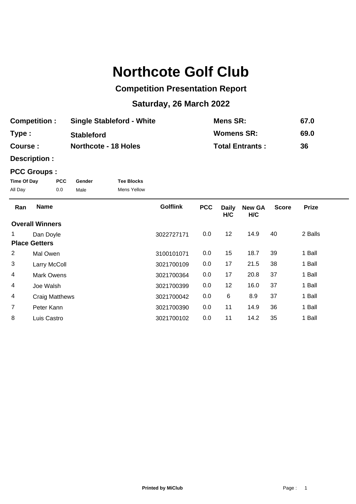## **Northcote Golf Club**

## **Competition Presentation Report**

## **Saturday, 26 March 2022**

| <b>Competition:</b> | <b>Single Stableford - White</b> | <b>Mens SR:</b>        | 67.0 |
|---------------------|----------------------------------|------------------------|------|
| Type:               | <b>Stableford</b>                | Womens SR:             | 69.0 |
| Course :            | <b>Northcote - 18 Holes</b>      | <b>Total Entrants:</b> | 36   |

**Description :**

## **PCC Groups :**

| Time Of Day | <b>PCC</b> | Gender | <b>Tee Blocks</b>  |
|-------------|------------|--------|--------------------|
| All Day     | 0.0        | Male   | <b>Mens Yellow</b> |

| Ran            | <b>Name</b>            | <b>Golflink</b> | <b>PCC</b> | <b>Daily</b><br>H/C | <b>New GA</b><br>H/C | <b>Score</b> | <b>Prize</b> |  |
|----------------|------------------------|-----------------|------------|---------------------|----------------------|--------------|--------------|--|
|                | <b>Overall Winners</b> |                 |            |                     |                      |              |              |  |
|                | Dan Doyle              | 3022727171      | 0.0        | 12                  | 14.9                 | 40           | 2 Balls      |  |
|                | <b>Place Getters</b>   |                 |            |                     |                      |              |              |  |
| 2              | Mal Owen               | 3100101071      | 0.0        | 15                  | 18.7                 | 39           | 1 Ball       |  |
| 3              | Larry McColl           | 3021700109      | 0.0        | 17                  | 21.5                 | 38           | 1 Ball       |  |
| 4              | <b>Mark Owens</b>      | 3021700364      | 0.0        | 17                  | 20.8                 | 37           | 1 Ball       |  |
| 4              | Joe Walsh              | 3021700399      | 0.0        | 12                  | 16.0                 | 37           | 1 Ball       |  |
| 4              | <b>Craig Matthews</b>  | 3021700042      | 0.0        | 6                   | 8.9                  | 37           | 1 Ball       |  |
| $\overline{7}$ | Peter Kann             | 3021700390      | 0.0        | 11                  | 14.9                 | 36           | 1 Ball       |  |
| 8              | Luis Castro            | 3021700102      | 0.0        | 11                  | 14.2                 | 35           | 1 Ball       |  |